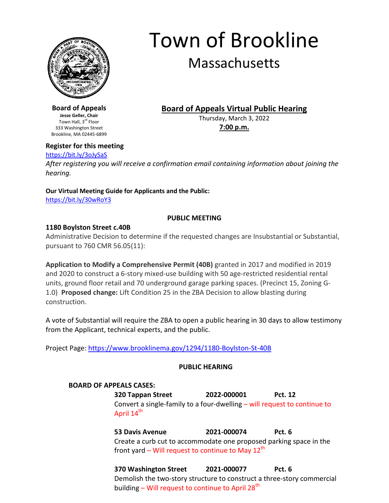

# Town of Brookline

## Massachusetts

**Board of Appeals Virtual Public Hearing**

Thursday, March 3, 2022 **7:00 p.m.**

**Board of Appeals Jesse Geller, Chair** Town Hall, 3<sup>rd</sup> Floor 333 Washington Street Brookline, MA 02445-6899

### **Register for this meeting**

#### <https://bit.ly/3oJySaS>

*After registering you will receive a confirmation email containing information about joining the hearing.*

## **Our Virtual Meeting Guide for Applicants and the Public:**

<https://bit.ly/30wRoY3>

#### **PUBLIC MEETING**

#### **1180 Boylston Street c.40B**

Administrative Decision to determine if the requested changes are Insubstantial or Substantial, pursuant to 760 CMR 56.05(11):

**Application to Modify a Comprehensive Permit (40B)** granted in 2017 and modified in 2019 and 2020 to construct a 6-story mixed-use building with 50 age-restricted residential rental units, ground floor retail and 70 underground garage parking spaces. (Precinct 15, Zoning G-1.0) **Proposed change:** Lift Condition 25 in the ZBA Decision to allow blasting during construction.

A vote of Substantial will require the ZBA to open a public hearing in 30 days to allow testimony from the Applicant, technical experts, and the public.

Project Page: <https://www.brooklinema.gov/1294/1180-Boylston-St-40B>

#### **PUBLIC HEARING**

#### **BOARD OF APPEALS CASES:**

**320 Tappan Street 2022-000001 Pct. 12** Convert a single-family to a four-dwelling – will request to continue to April 14<sup>th</sup>

**53 Davis Avenue 2021-000074 Pct. 6** Create a curb cut to accommodate one proposed parking space in the front yard – Will request to continue to May  $12^{th}$ 

**370 Washington Street 2021-000077 Pct. 6** Demolish the two-story structure to construct a three-story commercial building – Will request to continue to April  $28<sup>th</sup>$